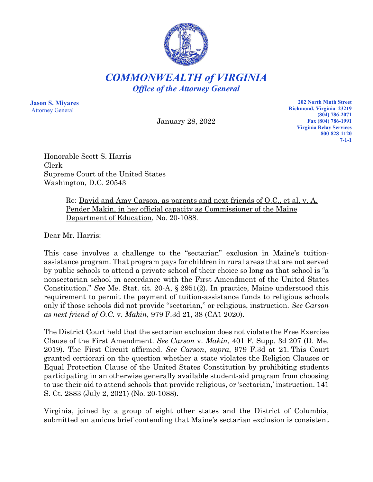

*COMMONWEALTH of VIRGINIA Office of the Attorney General*

**Jason S. Miyares** Attorney General

January 28, 2022

**202 North Ninth Street Richmond, Virginia 23219 (804) 786-2071 Fax (804) 786-1991 Virginia Relay Services 800-828-1120 7-1-1**

Honorable Scott S. Harris Clerk Supreme Court of the United States Washington, D.C. 20543

> Re: David and Amy Carson, as parents and next friends of O.C., et al. v. A. Pender Makin, in her official capacity as Commissioner of the Maine Department of Education, No. 20-1088.

Dear Mr. Harris:

This case involves a challenge to the "sectarian" exclusion in Maine's tuitionassistance program. That program pays for children in rural areas that are not served by public schools to attend a private school of their choice so long as that school is "a nonsectarian school in accordance with the First Amendment of the United States Constitution." *See* Me. Stat. tit. 20-A, § 2951(2). In practice, Maine understood this requirement to permit the payment of tuition-assistance funds to religious schools only if those schools did not provide "sectarian," or religious, instruction. *See Carson as next friend of O.C.* v. *Makin*, 979 F.3d 21, 38 (CA1 2020).

The District Court held that the sectarian exclusion does not violate the Free Exercise Clause of the First Amendment. *See Carson* v. *Makin*, 401 F. Supp. 3d 207 (D. Me. 2019). The First Circuit affirmed. *See Carson*, *supra*, 979 F.3d at 21. This Court granted certiorari on the question whether a state violates the Religion Clauses or Equal Protection Clause of the United States Constitution by prohibiting students participating in an otherwise generally available student-aid program from choosing to use their aid to attend schools that provide religious, or 'sectarian,' instruction. 141 S. Ct. 2883 (July 2, 2021) (No. 20-1088).

Virginia, joined by a group of eight other states and the District of Columbia, submitted an amicus brief contending that Maine's sectarian exclusion is consistent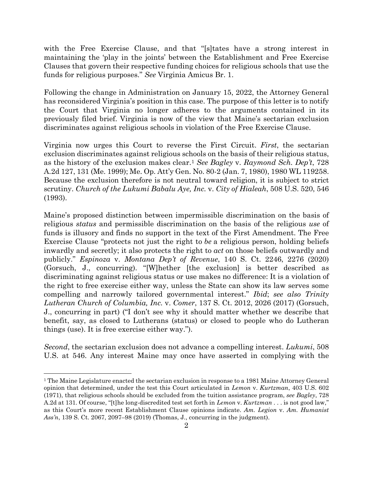with the Free Exercise Clause, and that "[s]tates have a strong interest in maintaining the 'play in the joints' between the Establishment and Free Exercise Clauses that govern their respective funding choices for religious schools that use the funds for religious purposes." *See* Virginia Amicus Br. 1.

Following the change in Administration on January 15, 2022, the Attorney General has reconsidered Virginia's position in this case. The purpose of this letter is to notify the Court that Virginia no longer adheres to the arguments contained in its previously filed brief. Virginia is now of the view that Maine's sectarian exclusion discriminates against religious schools in violation of the Free Exercise Clause.

Virginia now urges this Court to reverse the First Circuit. *First*, the sectarian exclusion discriminates against religious schools on the basis of their religious status, as the history of the exclusion makes clear.[1](#page-1-0) *See Bagley* v. *Raymond Sch. Dep't*, 728 A.2d 127, 131 (Me. 1999); Me. Op. Att'y Gen. No. 80-2 (Jan. 7, 1980), 1980 WL 119258. Because the exclusion therefore is not neutral toward religion, it is subject to strict scrutiny. *Church of the Lukumi Babalu Aye, Inc.* v. *City of Hialeah*, 508 U.S. 520, 546 (1993).

Maine's proposed distinction between impermissible discrimination on the basis of religious *status* and permissible discrimination on the basis of the religious *use* of funds is illusory and finds no support in the text of the First Amendment. The Free Exercise Clause "protects not just the right to *be* a religious person, holding beliefs inwardly and secretly; it also protects the right to *act* on those beliefs outwardly and publicly." *Espinoza* v. *Montana Dep't of Revenue*, 140 S. Ct. 2246, 2276 (2020) (Gorsuch, J., concurring). "[W]hether [the exclusion] is better described as discriminating against religious status or use makes no difference: It is a violation of the right to free exercise either way, unless the State can show its law serves some compelling and narrowly tailored governmental interest." *Ibid*; *see also Trinity Lutheran Church of Columbia, Inc.* v. *Comer*, 137 S. Ct. 2012, 2026 (2017) (Gorsuch, J., concurring in part) ("I don't see why it should matter whether we describe that benefit, say, as closed to Lutherans (status) or closed to people who do Lutheran things (use). It is free exercise either way.").

*Second*, the sectarian exclusion does not advance a compelling interest. *Lukumi*, 508 U.S. at 546. Any interest Maine may once have asserted in complying with the

<span id="page-1-0"></span><sup>&</sup>lt;sup>1</sup> The Maine Legislature enacted the sectarian exclusion in response to a 1981 Maine Attorney General opinion that determined, under the test this Court articulated in *Lemon* v. *Kurtzman*, 403 U.S. 602 (1971), that religious schools should be excluded from the tuition assistance program, *see Bagley*, 728 A.2d at 131. Of course, "[t]he long-discredited test set forth in *Lemon* v. *Kurtzman* . . . is not good law," as this Court's more recent Establishment Clause opinions indicate. *Am. Legion* v. *Am. Humanist Ass'n*, 139 S. Ct. 2067, 2097–98 (2019) (Thomas, J., concurring in the judgment).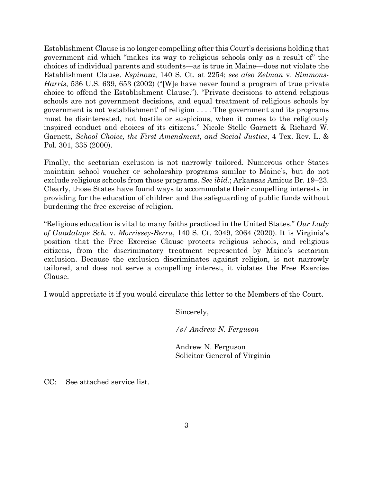Establishment Clause is no longer compelling after this Court's decisions holding that government aid which "makes its way to religious schools only as a result of" the choices of individual parents and students—as is true in Maine—does not violate the Establishment Clause. *Espinoza*, 140 S. Ct. at 2254; *see also Zelman* v. *Simmons-Harris*, 536 U.S. 639, 653 (2002) ("[W]e have never found a program of true private choice to offend the Establishment Clause."). "Private decisions to attend religious schools are not government decisions, and equal treatment of religious schools by government is not 'establishment' of religion . . . . The government and its programs must be disinterested, not hostile or suspicious, when it comes to the religiously inspired conduct and choices of its citizens." Nicole Stelle Garnett & Richard W. Garnett, *School Choice, the First Amendment, and Social Justice*, 4 Tex. Rev. L. & Pol. 301, 335 (2000).

Finally, the sectarian exclusion is not narrowly tailored. Numerous other States maintain school voucher or scholarship programs similar to Maine's, but do not exclude religious schools from those programs. *See ibid.*; Arkansas Amicus Br. 19–23. Clearly, those States have found ways to accommodate their compelling interests in providing for the education of children and the safeguarding of public funds without burdening the free exercise of religion.

"Religious education is vital to many faiths practiced in the United States." *Our Lady of Guadalupe Sch.* v. *Morrissey-Berru*, 140 S. Ct. 2049, 2064 (2020). It is Virginia's position that the Free Exercise Clause protects religious schools, and religious citizens, from the discriminatory treatment represented by Maine's sectarian exclusion. Because the exclusion discriminates against religion, is not narrowly tailored, and does not serve a compelling interest, it violates the Free Exercise Clause.

I would appreciate it if you would circulate this letter to the Members of the Court.

Sincerely,

*/s/ Andrew N. Ferguson*

Andrew N. Ferguson Solicitor General of Virginia

CC: See attached service list.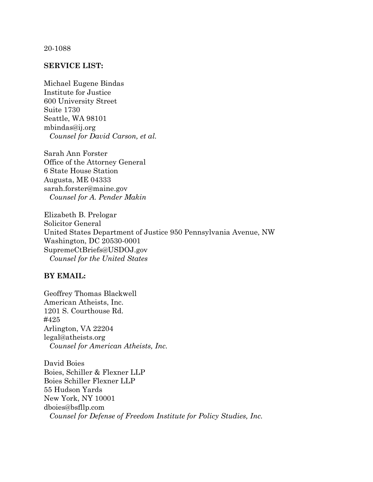## 20-1088

## **SERVICE LIST:**

Michael Eugene Bindas Institute for Justice 600 University Street Suite 1730 Seattle, WA 98101 mbindas@ij.org *Counsel for David Carson, et al.*

Sarah Ann Forster Office of the Attorney General 6 State House Station Augusta, ME 04333 sarah.forster@maine.gov *Counsel for A. Pender Makin*

Elizabeth B. Prelogar Solicitor General United States Department of Justice 950 Pennsylvania Avenue, NW Washington, DC 20530-0001 SupremeCtBriefs@USDOJ.gov *Counsel for the United States*

## **BY EMAIL:**

Geoffrey Thomas Blackwell American Atheists, Inc. 1201 S. Courthouse Rd. #425 Arlington, VA 22204 legal@atheists.org *Counsel for American Atheists, Inc.*

David Boies Boies, Schiller & Flexner LLP Boies Schiller Flexner LLP 55 Hudson Yards New York, NY 10001 dboies@bsfllp.com *Counsel for Defense of Freedom Institute for Policy Studies, Inc.*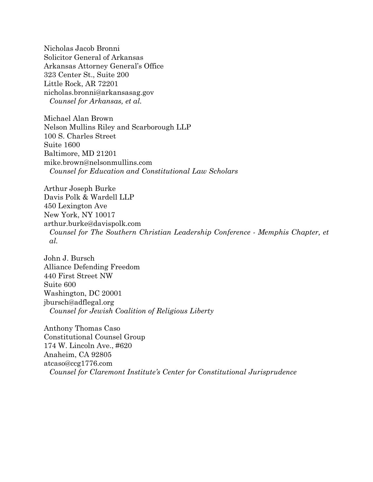Nicholas Jacob Bronni Solicitor General of Arkansas Arkansas Attorney General's Office 323 Center St., Suite 200 Little Rock, AR 72201 nicholas.bronni@arkansasag.gov *Counsel for Arkansas, et al.*

Michael Alan Brown Nelson Mullins Riley and Scarborough LLP 100 S. Charles Street Suite 1600 Baltimore, MD 21201 mike.brown@nelsonmullins.com *Counsel for Education and Constitutional Law Scholars*

Arthur Joseph Burke Davis Polk & Wardell LLP 450 Lexington Ave New York, NY 10017 arthur.burke@davispolk.com *Counsel for The Southern Christian Leadership Conference - Memphis Chapter, et al.*

John J. Bursch Alliance Defending Freedom 440 First Street NW Suite 600 Washington, DC 20001 jbursch@adflegal.org *Counsel for Jewish Coalition of Religious Liberty*

Anthony Thomas Caso Constitutional Counsel Group 174 W. Lincoln Ave., #620 Anaheim, CA 92805 atcaso@ccg1776.com *Counsel for Claremont Institute's Center for Constitutional Jurisprudence*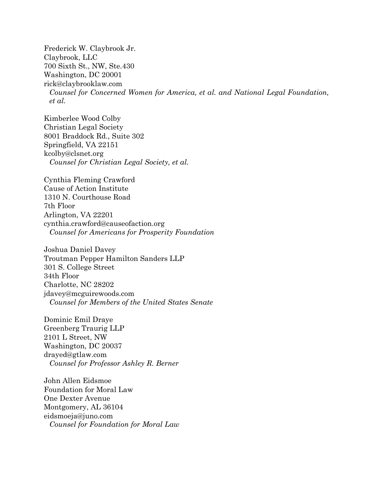Frederick W. Claybrook Jr. Claybrook, LLC 700 Sixth St., NW, Ste.430 Washington, DC 20001 rick@claybrooklaw.com *Counsel for Concerned Women for America, et al. and National Legal Foundation, et al.*

Kimberlee Wood Colby Christian Legal Society 8001 Braddock Rd., Suite 302 Springfield, VA 22151 kcolby@clsnet.org *Counsel for Christian Legal Society, et al.*

Cynthia Fleming Crawford Cause of Action Institute 1310 N. Courthouse Road 7th Floor Arlington, VA 22201 cynthia.crawford@causeofaction.org *Counsel for Americans for Prosperity Foundation*

Joshua Daniel Davey Troutman Pepper Hamilton Sanders LLP 301 S. College Street 34th Floor Charlotte, NC 28202 jdavey@mcguirewoods.com *Counsel for Members of the United States Senate*

Dominic Emil Draye Greenberg Traurig LLP 2101 L Street, NW Washington, DC 20037 drayed@gtlaw.com *Counsel for Professor Ashley R. Berner*

John Allen Eidsmoe Foundation for Moral Law One Dexter Avenue Montgomery, AL 36104 eidsmoeja@juno.com *Counsel for Foundation for Moral Law*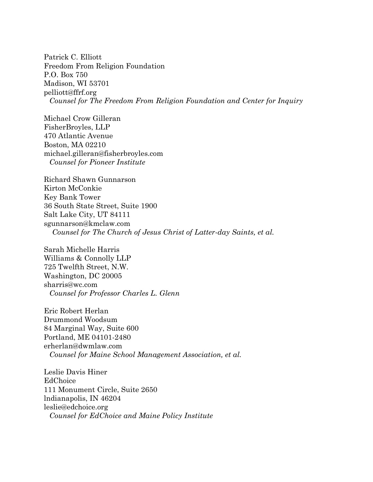Patrick C. Elliott Freedom From Religion Foundation P.O. Box 750 Madison, WI 53701 pelliott@ffrf.org *Counsel for The Freedom From Religion Foundation and Center for Inquiry*

Michael Crow Gilleran FisherBroyles, LLP 470 Atlantic Avenue Boston, MA 02210 michael.gilleran@fisherbroyles.com *Counsel for Pioneer Institute*

Richard Shawn Gunnarson Kirton McConkie Key Bank Tower 36 South State Street, Suite 1900 Salt Lake City, UT 84111 sgunnarson@kmclaw.com *Counsel for The Church of Jesus Christ of Latter-day Saints, et al.*

Sarah Michelle Harris Williams & Connolly LLP 725 Twelfth Street, N.W. Washington, DC 20005 sharris@wc.com *Counsel for Professor Charles L. Glenn*

Eric Robert Herlan Drummond Woodsum 84 Marginal Way, Suite 600 Portland, ME 04101-2480 erherlan@dwmlaw.com *Counsel for Maine School Management Association, et al.*

Leslie Davis Hiner EdChoice 111 Monument Circle, Suite 2650 lndianapolis, IN 46204 leslie@edchoice.org *Counsel for EdChoice and Maine Policy Institute*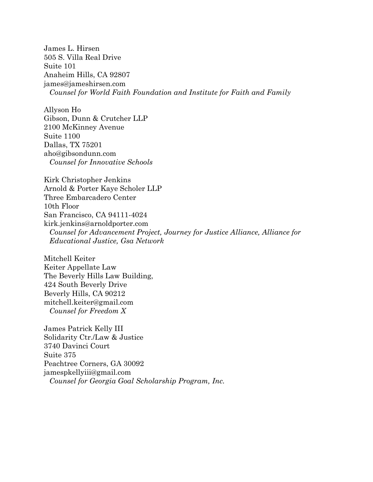James L. Hirsen 505 S. Villa Real Drive Suite 101 Anaheim Hills, CA 92807 james@jameshirsen.com *Counsel for World Faith Foundation and Institute for Faith and Family* 

Allyson Ho Gibson, Dunn & Crutcher LLP 2100 McKinney Avenue Suite 1100 Dallas, TX 75201 aho@gibsondunn.com *Counsel for Innovative Schools*

Kirk Christopher Jenkins Arnold & Porter Kaye Scholer LLP Three Embarcadero Center 10th Floor San Francisco, CA 94111-4024 kirk.jenkins@arnoldporter.com *Counsel for Advancement Project, Journey for Justice Alliance, Alliance for Educational Justice, Gsa Network*

Mitchell Keiter Keiter Appellate Law The Beverly Hills Law Building, 424 South Beverly Drive Beverly Hills, CA 90212 mitchell.keiter@gmail.com *Counsel for Freedom X*

James Patrick Kelly III Solidarity Ctr./Law & Justice 3740 Davinci Court Suite 375 Peachtree Corners, GA 30092 jamespkellyiii@gmail.com *Counsel for Georgia Goal Scholarship Program, Inc.*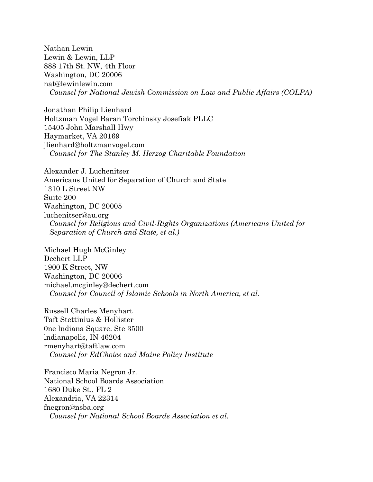Nathan Lewin Lewin & Lewin, LLP 888 17th St. NW, 4th Floor Washington, DC 20006 nat@lewinlewin.com *Counsel for National Jewish Commission on Law and Public Affairs (COLPA)*

Jonathan Philip Lienhard Holtzman Vogel Baran Torchinsky Josefiak PLLC 15405 John Marshall Hwy Haymarket, VA 20169 jlienhard@holtzmanvogel.com *Counsel for The Stanley M. Herzog Charitable Foundation*

Alexander J. Luchenitser Americans United for Separation of Church and State 1310 L Street NW Suite 200 Washington, DC 20005 luchenitser@au.org *Counsel for Religious and Civil-Rights Organizations (Americans United for Separation of Church and State, et al.)*

Michael Hugh McGinley Dechert LLP 1900 K Street, NW Washington, DC 20006 michael.mcginley@dechert.com *Counsel for Council of Islamic Schools in North America, et al.*

Russell Charles Menyhart Taft Stettinius & Hollister 0ne lndiana Square. Ste 3500 lndianapolis, IN 46204 rmenyhart@taftlaw.com *Counsel for EdChoice and Maine Policy Institute*

Francisco Maria Negron Jr. National School Boards Association 1680 Duke St., FL 2 Alexandria, VA 22314 fnegron@nsba.org *Counsel for National School Boards Association et al.*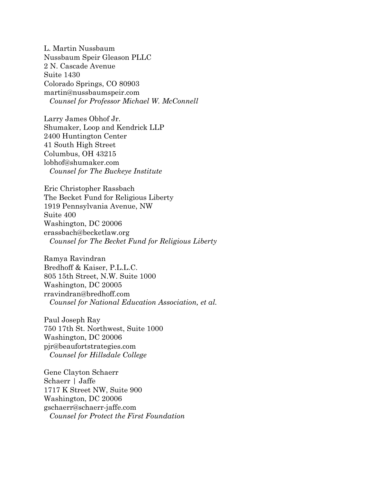L. Martin Nussbaum Nussbaum Speir Gleason PLLC 2 N. Cascade Avenue Suite 1430 Colorado Springs, CO 80903 martin@nussbaumspeir.com *Counsel for Professor Michael W. McConnell*

Larry James Obhof Jr. Shumaker, Loop and Kendrick LLP 2400 Huntington Center 41 South High Street Columbus, OH 43215 lobhof@shumaker.com *Counsel for The Buckeye Institute*

Eric Christopher Rassbach The Becket Fund for Religious Liberty 1919 Pennsylvania Avenue, NW Suite 400 Washington, DC 20006 erassbach@becketlaw.org *Counsel for The Becket Fund for Religious Liberty*

Ramya Ravindran Bredhoff & Kaiser, P.L.L.C. 805 15th Street, N.W. Suite 1000 Washington, DC 20005 rravindran@bredhoff.com *Counsel for National Education Association, et al.*

Paul Joseph Ray 750 17th St. Northwest, Suite 1000 Washington, DC 20006 pjr@beaufortstrategies.com *Counsel for Hillsdale College*

Gene Clayton Schaerr Schaerr | Jaffe 1717 K Street NW, Suite 900 Washington, DC 20006 gschaerr@schaerr-jaffe.com *Counsel for Protect the First Foundation*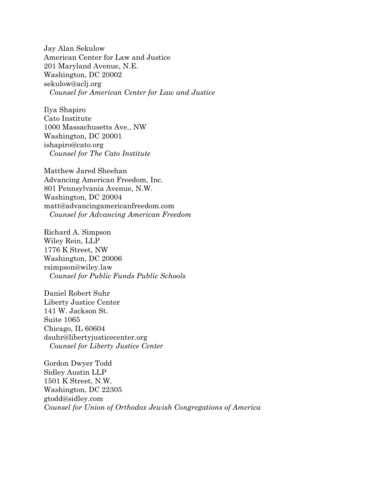Jay Alan Sekulow American Center for Law and Justice 201 Maryland Avenue, N.E. Washington, DC 20002 sekulow@aclj.org *Counsel for American Center for Law and Justice*

Ilya Shapiro Cato Institute 1000 Massachusetts Ave., NW Washington, DC 20001 ishapiro@cato.org *Counsel for The Cato Institute*

Matthew Jared Sheehan Advancing American Freedom, Inc. 801 Pennsylvania Avenue, N.W. Washington, DC 20004 matt@advancingamericanfreedom.com *Counsel for Advancing American Freedom*

Richard A. Simpson Wiley Rein, LLP 1776 K Street, NW Washington, DC 20006 rsimpson@wiley.law *Counsel for Public Funds Public Schools*

Daniel Robert Suhr Liberty Justice Center 141 W. Jackson St. Suite 1065 Chicago, IL 60604 dsuhr@libertyjusticecenter.org *Counsel for Liberty Justice Center*

Gordon Dwyer Todd Sidley Austin LLP 1501 K Street, N.W. Washington, DC 22305 gtodd@sidley.com *Counsel for Union of Orthodox Jewish Congregations of America*